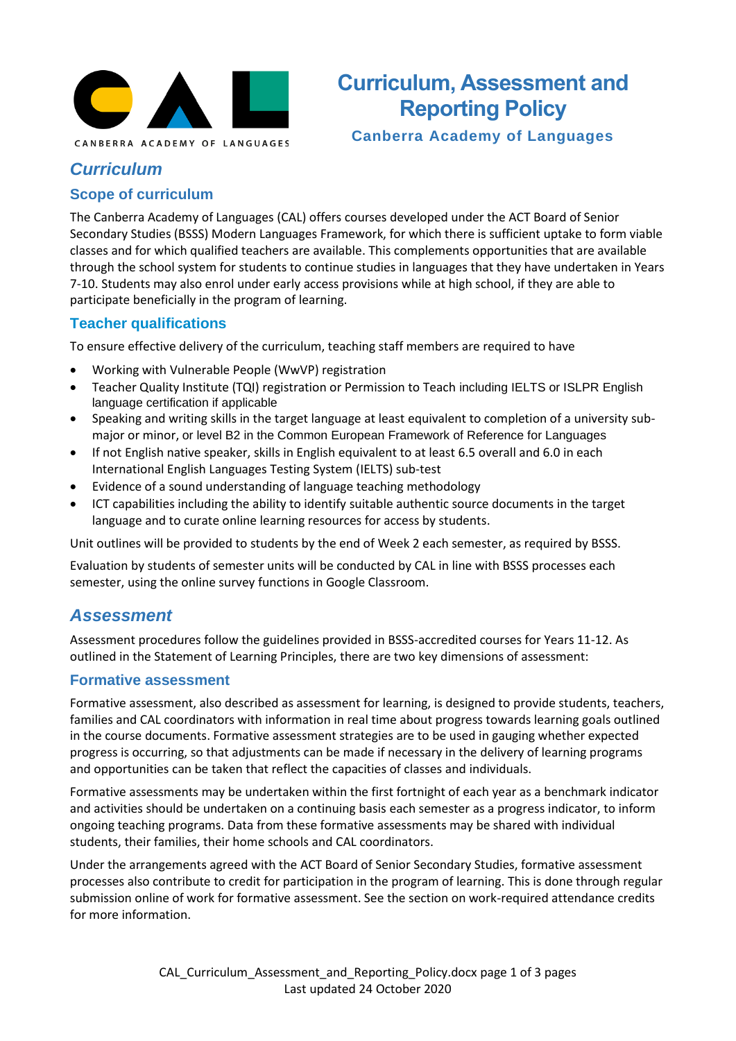

# **Curriculum, Assessment and Reporting Policy**

**Canberra Academy of Languages**

## *Curriculum*

#### **Scope of curriculum**

The Canberra Academy of Languages (CAL) offers courses developed under the ACT Board of Senior Secondary Studies (BSSS) Modern Languages Framework, for which there is sufficient uptake to form viable classes and for which qualified teachers are available. This complements opportunities that are available through the school system for students to continue studies in languages that they have undertaken in Years 7-10. Students may also enrol under early access provisions while at high school, if they are able to participate beneficially in the program of learning.

#### **Teacher qualifications**

To ensure effective delivery of the curriculum, teaching staff members are required to have

- Working with Vulnerable People (WwVP) registration
- Teacher Quality Institute (TQI) registration or Permission to Teach including IELTS or ISLPR English language certification if applicable
- Speaking and writing skills in the target language at least equivalent to completion of a university submajor or minor, or level B2 in the Common European Framework of Reference for Languages
- If not English native speaker, skills in English equivalent to at least 6.5 overall and 6.0 in each International English Languages Testing System (IELTS) sub-test
- Evidence of a sound understanding of language teaching methodology
- ICT capabilities including the ability to identify suitable authentic source documents in the target language and to curate online learning resources for access by students.

Unit outlines will be provided to students by the end of Week 2 each semester, as required by BSSS.

Evaluation by students of semester units will be conducted by CAL in line with BSSS processes each semester, using the online survey functions in Google Classroom.

#### *Assessment*

Assessment procedures follow the guidelines provided in BSSS-accredited courses for Years 11-12. As outlined in the Statement of Learning Principles, there are two key dimensions of assessment:

#### **Formative assessment**

Formative assessment, also described as assessment for learning, is designed to provide students, teachers, families and CAL coordinators with information in real time about progress towards learning goals outlined in the course documents. Formative assessment strategies are to be used in gauging whether expected progress is occurring, so that adjustments can be made if necessary in the delivery of learning programs and opportunities can be taken that reflect the capacities of classes and individuals.

Formative assessments may be undertaken within the first fortnight of each year as a benchmark indicator and activities should be undertaken on a continuing basis each semester as a progress indicator, to inform ongoing teaching programs. Data from these formative assessments may be shared with individual students, their families, their home schools and CAL coordinators.

Under the arrangements agreed with the ACT Board of Senior Secondary Studies, formative assessment processes also contribute to credit for participation in the program of learning. This is done through regular submission online of work for formative assessment. See the section on work-required attendance credits for more information.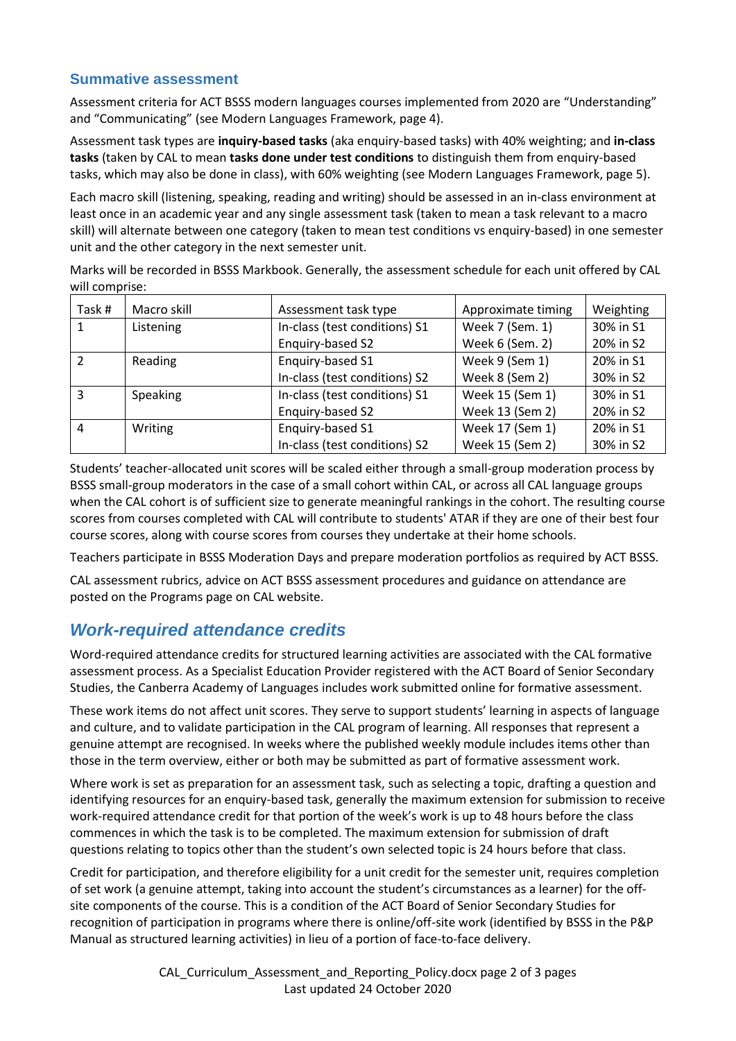#### **Summative assessment**

Assessment criteria for ACT BSSS modern languages courses implemented from 2020 are "Understanding" and "Communicating" (see Modern Languages Framework, page 4).

Assessment task types are **inquiry-based tasks** (aka enquiry-based tasks) with 40% weighting; and **in-class tasks** (taken by CAL to mean **tasks done under test conditions** to distinguish them from enquiry-based tasks, which may also be done in class), with 60% weighting (see Modern Languages Framework, page 5).

Each macro skill (listening, speaking, reading and writing) should be assessed in an in-class environment at least once in an academic year and any single assessment task (taken to mean a task relevant to a macro skill) will alternate between one category (taken to mean test conditions vs enquiry-based) in one semester unit and the other category in the next semester unit.

Marks will be recorded in BSSS Markbook. Generally, the assessment schedule for each unit offered by CAL will comprise:

| Task#          | Macro skill     | Assessment task type          | Approximate timing | Weighting |
|----------------|-----------------|-------------------------------|--------------------|-----------|
|                | Listening       | In-class (test conditions) S1 | Week 7 (Sem. 1)    | 30% in S1 |
|                |                 | Enquiry-based S2              | Week 6 (Sem. 2)    | 20% in S2 |
| $\mathcal{P}$  | Reading         | Enquiry-based S1              | Week 9 (Sem 1)     | 20% in S1 |
|                |                 | In-class (test conditions) S2 | Week 8 (Sem 2)     | 30% in S2 |
| 3              | <b>Speaking</b> | In-class (test conditions) S1 | Week 15 (Sem 1)    | 30% in S1 |
|                |                 | Enquiry-based S2              | Week 13 (Sem 2)    | 20% in S2 |
| $\overline{4}$ | Writing         | Enquiry-based S1              | Week 17 (Sem 1)    | 20% in S1 |
|                |                 | In-class (test conditions) S2 | Week 15 (Sem 2)    | 30% in S2 |

Students' teacher-allocated unit scores will be scaled either through a small-group moderation process by BSSS small-group moderators in the case of a small cohort within CAL, or across all CAL language groups when the CAL cohort is of sufficient size to generate meaningful rankings in the cohort. The resulting course scores from courses completed with CAL will contribute to students' ATAR if they are one of their best four course scores, along with course scores from courses they undertake at their home schools.

Teachers participate in BSSS Moderation Days and prepare moderation portfolios as required by ACT BSSS.

CAL assessment rubrics, advice on ACT BSSS assessment procedures and guidance on attendance are posted on the Programs page on CAL website.

### *Work-required attendance credits*

Word-required attendance credits for structured learning activities are associated with the CAL formative assessment process. As a Specialist Education Provider registered with the ACT Board of Senior Secondary Studies, the Canberra Academy of Languages includes work submitted online for formative assessment.

These work items do not affect unit scores. They serve to support students' learning in aspects of language and culture, and to validate participation in the CAL program of learning. All responses that represent a genuine attempt are recognised. In weeks where the published weekly module includes items other than those in the term overview, either or both may be submitted as part of formative assessment work.

Where work is set as preparation for an assessment task, such as selecting a topic, drafting a question and identifying resources for an enquiry-based task, generally the maximum extension for submission to receive work-required attendance credit for that portion of the week's work is up to 48 hours before the class commences in which the task is to be completed. The maximum extension for submission of draft questions relating to topics other than the student's own selected topic is 24 hours before that class.

Credit for participation, and therefore eligibility for a unit credit for the semester unit, requires completion of set work (a genuine attempt, taking into account the student's circumstances as a learner) for the offsite components of the course. This is a condition of the ACT Board of Senior Secondary Studies for recognition of participation in programs where there is online/off-site work (identified by BSSS in the P&P Manual as structured learning activities) in lieu of a portion of face-to-face delivery.